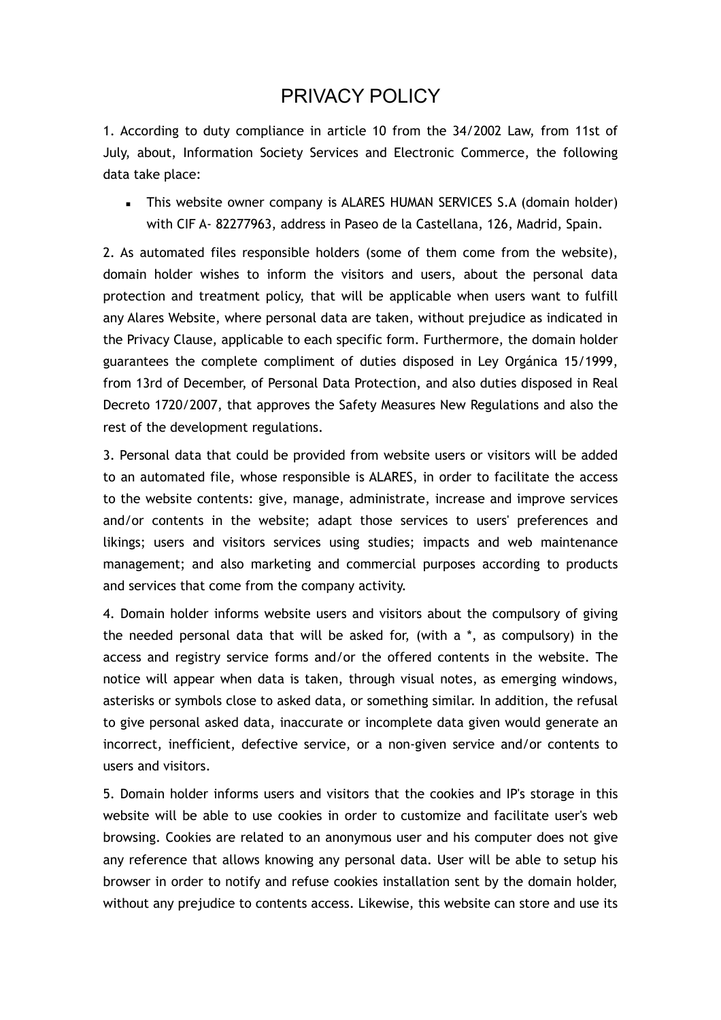## PRIVACY POLICY

1. According to duty compliance in article 10 from the 34/2002 Law, from 11st of July, about, Information Society Services and Electronic Commerce, the following data take place:

**EXECT** This website owner company is ALARES HUMAN SERVICES S.A (domain holder) with CIF A- 82277963, address in Paseo de la Castellana, 126, Madrid, Spain.

2. As automated files responsible holders (some of them come from the website), domain holder wishes to inform the visitors and users, about the personal data protection and treatment policy, that will be applicable when users want to fulfill any Alares Website, where personal data are taken, without prejudice as indicated in the Privacy Clause, applicable to each specific form. Furthermore, the domain holder guarantees the complete compliment of duties disposed in Ley Orgánica 15/1999, from 13rd of December, of Personal Data Protection, and also duties disposed in Real Decreto 1720/2007, that approves the Safety Measures New Regulations and also the rest of the development regulations.

3. Personal data that could be provided from website users or visitors will be added to an automated file, whose responsible is ALARES, in order to facilitate the access to the website contents: give, manage, administrate, increase and improve services and/or contents in the website; adapt those services to users' preferences and likings; users and visitors services using studies; impacts and web maintenance management; and also marketing and commercial purposes according to products and services that come from the company activity.

4. Domain holder informs website users and visitors about the compulsory of giving the needed personal data that will be asked for, (with a  $*$ , as compulsory) in the access and registry service forms and/or the offered contents in the website. The notice will appear when data is taken, through visual notes, as emerging windows, asterisks or symbols close to asked data, or something similar. In addition, the refusal to give personal asked data, inaccurate or incomplete data given would generate an incorrect, inefficient, defective service, or a non-given service and/or contents to users and visitors.

5. Domain holder informs users and visitors that the cookies and IP's storage in this website will be able to use cookies in order to customize and facilitate user's web browsing. Cookies are related to an anonymous user and his computer does not give any reference that allows knowing any personal data. User will be able to setup his browser in order to notify and refuse cookies installation sent by the domain holder, without any prejudice to contents access. Likewise, this website can store and use its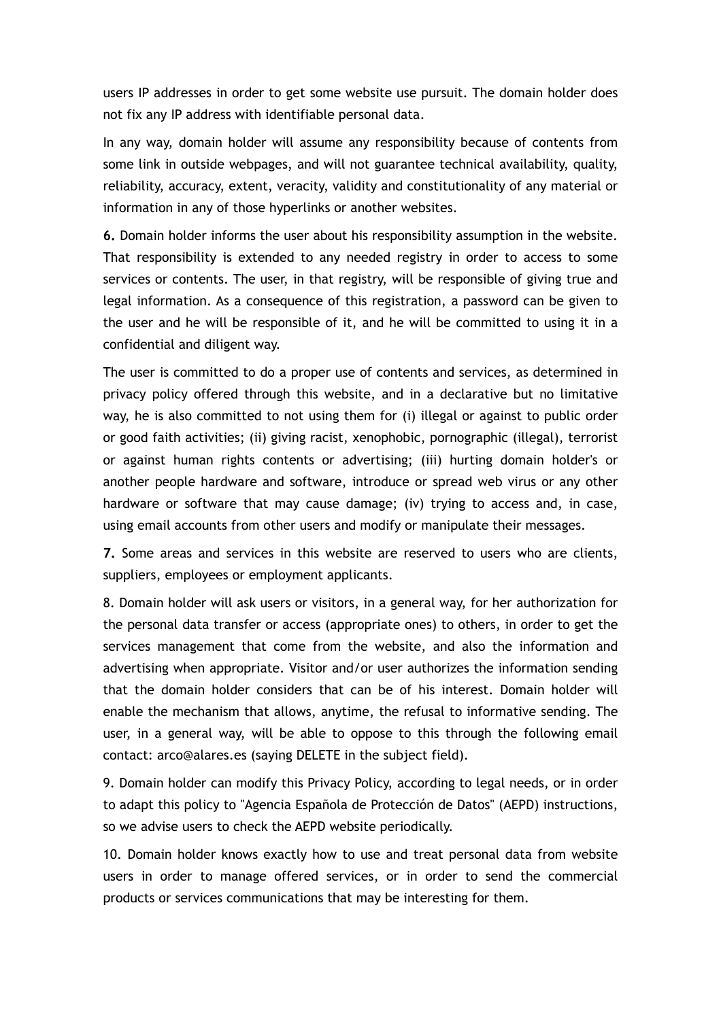users IP addresses in order to get some website use pursuit. The domain holder does not fix any IP address with identifiable personal data.

In any way, domain holder will assume any responsibility because of contents from some link in outside webpages, and will not guarantee technical availability, quality, reliability, accuracy, extent, veracity, validity and constitutionality of any material or information in any of those hyperlinks or another websites.

**6.** Domain holder informs the user about his responsibility assumption in the website. That responsibility is extended to any needed registry in order to access to some services or contents. The user, in that registry, will be responsible of giving true and legal information. As a consequence of this registration, a password can be given to the user and he will be responsible of it, and he will be committed to using it in a confidential and diligent way.

The user is committed to do a proper use of contents and services, as determined in privacy policy offered through this website, and in a declarative but no limitative way, he is also committed to not using them for (i) illegal or against to public order or good faith activities; (ii) giving racist, xenophobic, pornographic (illegal), terrorist or against human rights contents or advertising; (iii) hurting domain holder's or another people hardware and software, introduce or spread web virus or any other hardware or software that may cause damage; (iv) trying to access and, in case, using email accounts from other users and modify or manipulate their messages.

**7.** Some areas and services in this website are reserved to users who are clients, suppliers, employees or employment applicants.

8. Domain holder will ask users or visitors, in a general way, for her authorization for the personal data transfer or access (appropriate ones) to others, in order to get the services management that come from the website, and also the information and advertising when appropriate. Visitor and/or user authorizes the information sending that the domain holder considers that can be of his interest. Domain holder will enable the mechanism that allows, anytime, the refusal to informative sending. The user, in a general way, will be able to oppose to this through the following email contact: arco@alares.es (saying DELETE in the subject field).

9. Domain holder can modify this Privacy Policy, according to legal needs, or in order to adapt this policy to "Agencia Española de Protección de Datos" (AEPD) instructions, so we advise users to check the AEPD website periodically.

10. Domain holder knows exactly how to use and treat personal data from website users in order to manage offered services, or in order to send the commercial products or services communications that may be interesting for them.